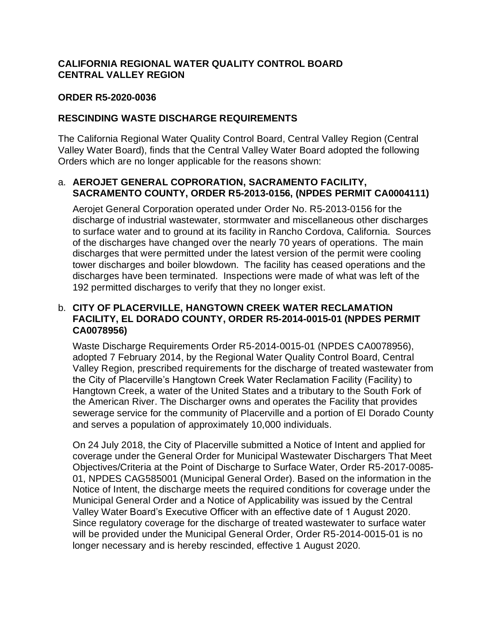# **CALIFORNIA REGIONAL WATER QUALITY CONTROL BOARD CENTRAL VALLEY REGION**

### **ORDER R5-2020-0036**

### **RESCINDING WASTE DISCHARGE REQUIREMENTS**

The California Regional Water Quality Control Board, Central Valley Region (Central Valley Water Board), finds that the Central Valley Water Board adopted the following Orders which are no longer applicable for the reasons shown:

### a. **AEROJET GENERAL COPRORATION, SACRAMENTO FACILITY, SACRAMENTO COUNTY, ORDER R5-2013-0156, (NPDES PERMIT CA0004111)**

Aerojet General Corporation operated under Order No. R5-2013-0156 for the discharge of industrial wastewater, stormwater and miscellaneous other discharges to surface water and to ground at its facility in Rancho Cordova, California. Sources of the discharges have changed over the nearly 70 years of operations. The main discharges that were permitted under the latest version of the permit were cooling tower discharges and boiler blowdown. The facility has ceased operations and the discharges have been terminated. Inspections were made of what was left of the 192 permitted discharges to verify that they no longer exist.

## b. **CITY OF PLACERVILLE, HANGTOWN CREEK WATER RECLAMATION FACILITY, EL DORADO COUNTY, ORDER R5-2014-0015-01 (NPDES PERMIT CA0078956)**

Waste Discharge Requirements Order R5-2014-0015-01 (NPDES CA0078956), adopted 7 February 2014, by the Regional Water Quality Control Board, Central Valley Region, prescribed requirements for the discharge of treated wastewater from the City of Placerville's Hangtown Creek Water Reclamation Facility (Facility) to Hangtown Creek, a water of the United States and a tributary to the South Fork of the American River. The Discharger owns and operates the Facility that provides sewerage service for the community of Placerville and a portion of El Dorado County and serves a population of approximately 10,000 individuals.

On 24 July 2018, the City of Placerville submitted a Notice of Intent and applied for coverage under the General Order for Municipal Wastewater Dischargers That Meet Objectives/Criteria at the Point of Discharge to Surface Water, Order R5-2017-0085- 01, NPDES CAG585001 (Municipal General Order). Based on the information in the Notice of Intent, the discharge meets the required conditions for coverage under the Municipal General Order and a Notice of Applicability was issued by the Central Valley Water Board's Executive Officer with an effective date of 1 August 2020. Since regulatory coverage for the discharge of treated wastewater to surface water will be provided under the Municipal General Order, Order R5-2014-0015-01 is no longer necessary and is hereby rescinded, effective 1 August 2020.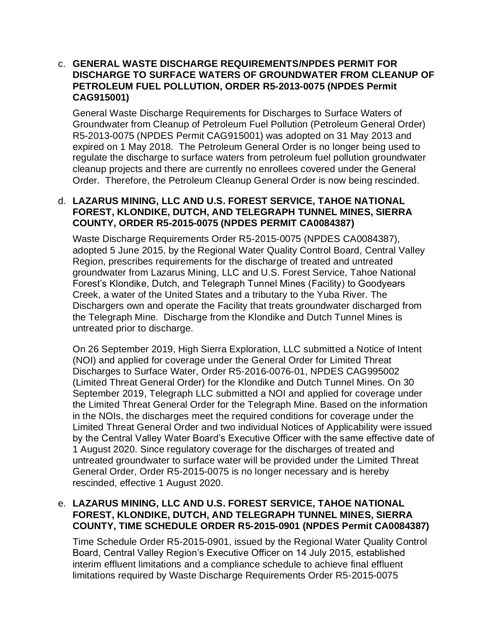### c. **GENERAL WASTE DISCHARGE REQUIREMENTS/NPDES PERMIT FOR DISCHARGE TO SURFACE WATERS OF GROUNDWATER FROM CLEANUP OF PETROLEUM FUEL POLLUTION, ORDER R5-2013-0075 (NPDES Permit CAG915001)**

General Waste Discharge Requirements for Discharges to Surface Waters of Groundwater from Cleanup of Petroleum Fuel Pollution (Petroleum General Order) R5-2013-0075 (NPDES Permit CAG915001) was adopted on 31 May 2013 and expired on 1 May 2018. The Petroleum General Order is no longer being used to regulate the discharge to surface waters from petroleum fuel pollution groundwater cleanup projects and there are currently no enrollees covered under the General Order. Therefore, the Petroleum Cleanup General Order is now being rescinded.

### d. **LAZARUS MINING, LLC AND U.S. FOREST SERVICE, TAHOE NATIONAL FOREST, KLONDIKE, DUTCH, AND TELEGRAPH TUNNEL MINES, SIERRA COUNTY, ORDER R5-2015-0075 (NPDES PERMIT CA0084387)**

Waste Discharge Requirements Order R5-2015-0075 (NPDES CA0084387), adopted 5 June 2015, by the Regional Water Quality Control Board, Central Valley Region, prescribes requirements for the discharge of treated and untreated groundwater from Lazarus Mining, LLC and U.S. Forest Service, Tahoe National Forest's Klondike, Dutch, and Telegraph Tunnel Mines (Facility) to Goodyears Creek, a water of the United States and a tributary to the Yuba River. The Dischargers own and operate the Facility that treats groundwater discharged from the Telegraph Mine. Discharge from the Klondike and Dutch Tunnel Mines is untreated prior to discharge.

On 26 September 2019, High Sierra Exploration, LLC submitted a Notice of Intent (NOI) and applied for coverage under the General Order for Limited Threat Discharges to Surface Water, Order R5-2016-0076-01, NPDES CAG995002 (Limited Threat General Order) for the Klondike and Dutch Tunnel Mines. On 30 September 2019, Telegraph LLC submitted a NOI and applied for coverage under the Limited Threat General Order for the Telegraph Mine. Based on the information in the NOIs, the discharges meet the required conditions for coverage under the Limited Threat General Order and two individual Notices of Applicability were issued by the Central Valley Water Board's Executive Officer with the same effective date of 1 August 2020. Since regulatory coverage for the discharges of treated and untreated groundwater to surface water will be provided under the Limited Threat General Order, Order R5-2015-0075 is no longer necessary and is hereby rescinded, effective 1 August 2020.

# e. **LAZARUS MINING, LLC AND U.S. FOREST SERVICE, TAHOE NATIONAL FOREST, KLONDIKE, DUTCH, AND TELEGRAPH TUNNEL MINES, SIERRA COUNTY, TIME SCHEDULE ORDER R5-2015-0901 (NPDES Permit CA0084387)**

Time Schedule Order R5-2015-0901, issued by the Regional Water Quality Control Board, Central Valley Region's Executive Officer on 14 July 2015, established interim effluent limitations and a compliance schedule to achieve final effluent limitations required by Waste Discharge Requirements Order R5-2015-0075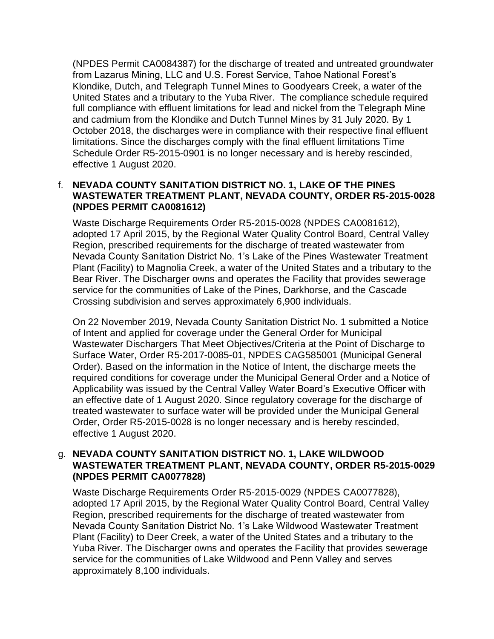(NPDES Permit CA0084387) for the discharge of treated and untreated groundwater from Lazarus Mining, LLC and U.S. Forest Service, Tahoe National Forest's Klondike, Dutch, and Telegraph Tunnel Mines to Goodyears Creek, a water of the United States and a tributary to the Yuba River. The compliance schedule required full compliance with effluent limitations for lead and nickel from the Telegraph Mine and cadmium from the Klondike and Dutch Tunnel Mines by 31 July 2020. By 1 October 2018, the discharges were in compliance with their respective final effluent limitations. Since the discharges comply with the final effluent limitations Time Schedule Order R5-2015-0901 is no longer necessary and is hereby rescinded, effective 1 August 2020.

# f. **NEVADA COUNTY SANITATION DISTRICT NO. 1, LAKE OF THE PINES WASTEWATER TREATMENT PLANT, NEVADA COUNTY, ORDER R5-2015-0028 (NPDES PERMIT CA0081612)**

Waste Discharge Requirements Order R5-2015-0028 (NPDES CA0081612), adopted 17 April 2015, by the Regional Water Quality Control Board, Central Valley Region, prescribed requirements for the discharge of treated wastewater from Nevada County Sanitation District No. 1's Lake of the Pines Wastewater Treatment Plant (Facility) to Magnolia Creek, a water of the United States and a tributary to the Bear River. The Discharger owns and operates the Facility that provides sewerage service for the communities of Lake of the Pines, Darkhorse, and the Cascade Crossing subdivision and serves approximately 6,900 individuals.

On 22 November 2019, Nevada County Sanitation District No. 1 submitted a Notice of Intent and applied for coverage under the General Order for Municipal Wastewater Dischargers That Meet Objectives/Criteria at the Point of Discharge to Surface Water, Order R5-2017-0085-01, NPDES CAG585001 (Municipal General Order). Based on the information in the Notice of Intent, the discharge meets the required conditions for coverage under the Municipal General Order and a Notice of Applicability was issued by the Central Valley Water Board's Executive Officer with an effective date of 1 August 2020. Since regulatory coverage for the discharge of treated wastewater to surface water will be provided under the Municipal General Order, Order R5-2015-0028 is no longer necessary and is hereby rescinded, effective 1 August 2020.

### g. **NEVADA COUNTY SANITATION DISTRICT NO. 1, LAKE WILDWOOD WASTEWATER TREATMENT PLANT, NEVADA COUNTY, ORDER R5-2015-0029 (NPDES PERMIT CA0077828)**

Waste Discharge Requirements Order R5-2015-0029 (NPDES CA0077828), adopted 17 April 2015, by the Regional Water Quality Control Board, Central Valley Region, prescribed requirements for the discharge of treated wastewater from Nevada County Sanitation District No. 1's Lake Wildwood Wastewater Treatment Plant (Facility) to Deer Creek, a water of the United States and a tributary to the Yuba River. The Discharger owns and operates the Facility that provides sewerage service for the communities of Lake Wildwood and Penn Valley and serves approximately 8,100 individuals.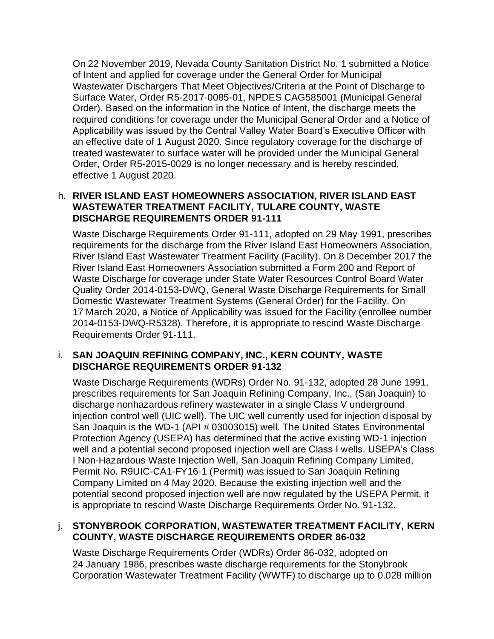On 22 November 2019, Nevada County Sanitation District No. 1 submitted a Notice of Intent and applied for coverage under the General Order for Municipal Wastewater Dischargers That Meet Objectives/Criteria at the Point of Discharge to Surface Water, Order R5-2017-0085-01, NPDES CAG585001 (Municipal General Order). Based on the information in the Notice of Intent, the discharge meets the required conditions for coverage under the Municipal General Order and a Notice of Applicability was issued by the Central Valley Water Board's Executive Officer with an effective date of 1 August 2020. Since regulatory coverage for the discharge of treated wastewater to surface water will be provided under the Municipal General Order, Order R5-2015-0029 is no longer necessary and is hereby rescinded, effective 1 August 2020.

# h. **RIVER ISLAND EAST HOMEOWNERS ASSOCIATION, RIVER ISLAND EAST WASTEWATER TREATMENT FACILITY, TULARE COUNTY, WASTE DISCHARGE REQUIREMENTS ORDER 91-111**

Waste Discharge Requirements Order 91-111, adopted on 29 May 1991, prescribes requirements for the discharge from the River Island East Homeowners Association, River Island East Wastewater Treatment Facility (Facility). On 8 December 2017 the River Island East Homeowners Association submitted a Form 200 and Report of Waste Discharge for coverage under State Water Resources Control Board Water Quality Order 2014-0153-DWQ, General Waste Discharge Requirements for Small Domestic Wastewater Treatment Systems (General Order) for the Facility. On 17 March 2020, a Notice of Applicability was issued for the Facility (enrollee number 2014-0153-DWQ-R5328). Therefore, it is appropriate to rescind Waste Discharge Requirements Order 91-111.

### i. **SAN JOAQUIN REFINING COMPANY, INC., KERN COUNTY, WASTE DISCHARGE REQUIREMENTS ORDER 91-132**

Waste Discharge Requirements (WDRs) Order No. 91-132, adopted 28 June 1991, prescribes requirements for San Joaquin Refining Company, Inc., (San Joaquin) to discharge nonhazardous refinery wastewater in a single Class V underground injection control well (UIC well). The UIC well currently used for injection disposal by San Joaquin is the WD-1 (API # 03003015) well. The United States Environmental Protection Agency (USEPA) has determined that the active existing WD-1 injection well and a potential second proposed injection well are Class I wells. USEPA's Class I Non-Hazardous Waste Injection Well, San Joaquin Refining Company Limited, Permit No. R9UIC-CA1-FY16-1 (Permit) was issued to San Joaquin Refining Company Limited on 4 May 2020. Because the existing injection well and the potential second proposed injection well are now regulated by the USEPA Permit, it is appropriate to rescind Waste Discharge Requirements Order No. 91-132.

# j. **STONYBROOK CORPORATION, WASTEWATER TREATMENT FACILITY, KERN COUNTY, WASTE DISCHARGE REQUIREMENTS ORDER 86-032**

Waste Discharge Requirements Order (WDRs) Order 86-032, adopted on 24 January 1986, prescribes waste discharge requirements for the Stonybrook Corporation Wastewater Treatment Facility (WWTF) to discharge up to 0.028 million